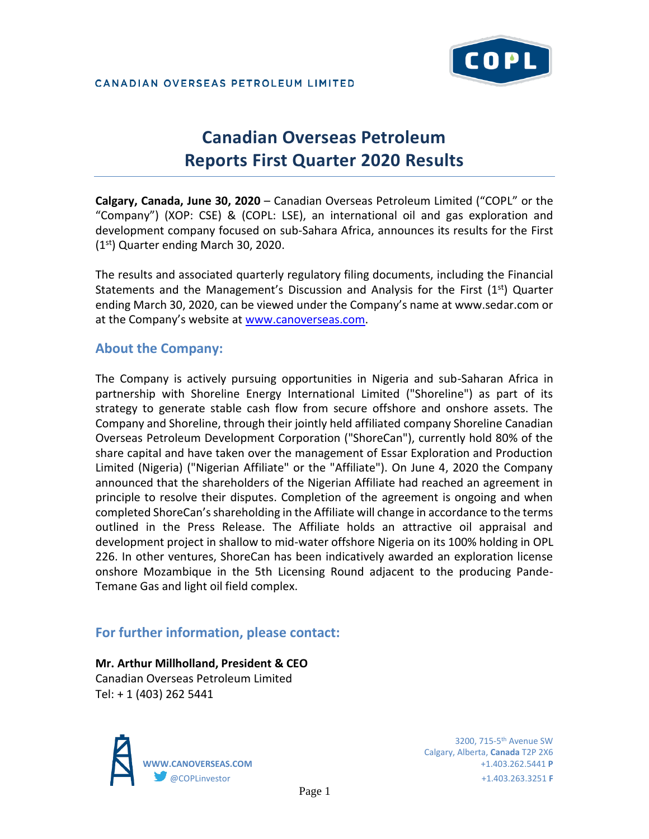

# **Canadian Overseas Petroleum Reports First Quarter 2020 Results**

**Calgary, Canada, June 30, 2020** – Canadian Overseas Petroleum Limited ("COPL" or the "Company") (XOP: CSE) & (COPL: LSE), an international oil and gas exploration and development company focused on sub-Sahara Africa, announces its results for the First  $(1<sup>st</sup>)$  Quarter ending March 30, 2020.

The results and associated quarterly regulatory filing documents, including the Financial Statements and the Management's Discussion and Analysis for the First  $(1<sup>st</sup>)$  Quarter ending March 30, 2020, can be viewed under the Company's name at www.sedar.com or at the Company's website at [www.canoverseas.com.](http://www.canoverseas.com/)

### **About the Company:**

The Company is actively pursuing opportunities in Nigeria and sub-Saharan Africa in partnership with Shoreline Energy International Limited ("Shoreline") as part of its strategy to generate stable cash flow from secure offshore and onshore assets. The Company and Shoreline, through their jointly held affiliated company Shoreline Canadian Overseas Petroleum Development Corporation ("ShoreCan"), currently hold 80% of the share capital and have taken over the management of Essar Exploration and Production Limited (Nigeria) ("Nigerian Affiliate" or the "Affiliate"). On June 4, 2020 the Company announced that the shareholders of the Nigerian Affiliate had reached an agreement in principle to resolve their disputes. Completion of the agreement is ongoing and when completed ShoreCan's shareholding in the Affiliate will change in accordance to the terms outlined in the Press Release. The Affiliate holds an attractive oil appraisal and development project in shallow to mid-water offshore Nigeria on its 100% holding in OPL 226. In other ventures, ShoreCan has been indicatively awarded an exploration license onshore Mozambique in the 5th Licensing Round adjacent to the producing Pande-Temane Gas and light oil field complex.

## **For further information, please contact:**

## **Mr. Arthur Millholland, President & CEO**

Canadian Overseas Petroleum Limited Tel: + 1 (403) 262 5441



Calgary, Alberta, **Canada** T2P 2X6 **WWW.CANOVERSEAS.COM** +1.403.262.5441 **P** @COPLinvestor +1.403.263.3251 **F**